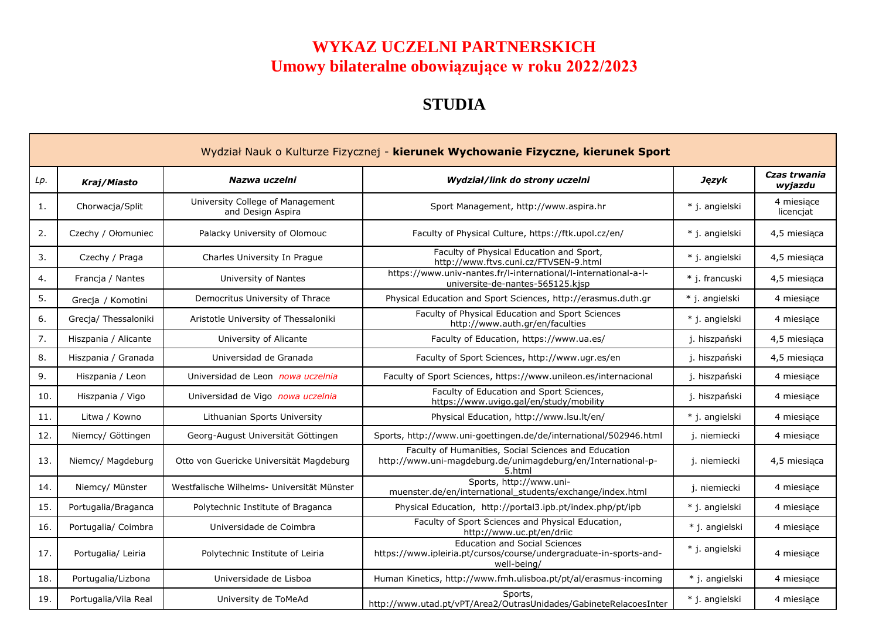## **WYKAZ UCZELNI PARTNERSKICH Umowy bilateralne obowiązujące w roku 2022/2023**

## **STUDIA**

|     | Wydział Nauk o Kulturze Fizycznej - kierunek Wychowanie Fizyczne, kierunek Sport |                                                       |                                                                                                                                |                |                         |  |  |
|-----|----------------------------------------------------------------------------------|-------------------------------------------------------|--------------------------------------------------------------------------------------------------------------------------------|----------------|-------------------------|--|--|
| Lp. | Kraj/Miasto                                                                      | Nazwa uczelni                                         | Wydział/link do strony uczelni                                                                                                 | Język          | Czas trwania<br>wyjazdu |  |  |
| 1.  | Chorwacja/Split                                                                  | University College of Management<br>and Design Aspira | Sport Management, http://www.aspira.hr                                                                                         | * j. angielski | 4 miesiące<br>licencjat |  |  |
| 2.  | Czechy / Ołomuniec                                                               | Palacky University of Olomouc                         | Faculty of Physical Culture, https://ftk.upol.cz/en/                                                                           | * j. angielski | 4,5 miesiąca            |  |  |
| 3.  | Czechy / Praga                                                                   | Charles University In Prague                          | Faculty of Physical Education and Sport,<br>http://www.ftvs.cuni.cz/FTVSEN-9.html                                              | * i. angielski | 4,5 miesiaca            |  |  |
| 4.  | Francja / Nantes                                                                 | University of Nantes                                  | https://www.univ-nantes.fr/l-international/l-international-a-l-<br>universite-de-nantes-565125.kjsp                            | * j. francuski | 4,5 miesiąca            |  |  |
| 5.  | Grecja / Komotini                                                                | Democritus University of Thrace                       | Physical Education and Sport Sciences, http://erasmus.duth.gr                                                                  | * j. angielski | 4 miesiące              |  |  |
| 6.  | Grecja/ Thessaloniki                                                             | Aristotle University of Thessaloniki                  | Faculty of Physical Education and Sport Sciences<br>http://www.auth.gr/en/faculties                                            | * j. angielski | 4 miesiace              |  |  |
| 7.  | Hiszpania / Alicante                                                             | University of Alicante                                | Faculty of Education, https://www.ua.es/                                                                                       | j. hiszpański  | 4,5 miesiąca            |  |  |
| 8.  | Hiszpania / Granada                                                              | Universidad de Granada                                | Faculty of Sport Sciences, http://www.ugr.es/en                                                                                | j. hiszpański  | 4,5 miesiąca            |  |  |
| 9.  | Hiszpania / Leon                                                                 | Universidad de Leon nowa uczelnia                     | Faculty of Sport Sciences, https://www.unileon.es/internacional                                                                | j. hiszpański  | 4 miesiące              |  |  |
| 10. | Hiszpania / Vigo                                                                 | Universidad de Vigo nowa uczelnia                     | Faculty of Education and Sport Sciences,<br>https://www.uvigo.gal/en/study/mobility                                            | j. hiszpański  | 4 miesiace              |  |  |
| 11. | Litwa / Kowno                                                                    | Lithuanian Sports University                          | Physical Education, http://www.lsu.lt/en/                                                                                      | * j. angielski | 4 miesiące              |  |  |
| 12. | Niemcy/ Göttingen                                                                | Georg-August Universität Göttingen                    | Sports, http://www.uni-goettingen.de/de/international/502946.html                                                              | j. niemiecki   | 4 miesiące              |  |  |
| 13. | Niemcy/ Magdeburg                                                                | Otto von Guericke Universität Magdeburg               | Faculty of Humanities, Social Sciences and Education<br>http://www.uni-magdeburg.de/unimagdeburg/en/International-p-<br>5.html | j. niemiecki   | 4,5 miesiaca            |  |  |
| 14. | Niemcy/ Münster                                                                  | Westfalische Wilhelms- Universität Münster            | Sports, http://www.uni-<br>muenster.de/en/international_students/exchange/index.html                                           | j. niemiecki   | 4 miesiace              |  |  |
| 15. | Portugalia/Braganca                                                              | Polytechnic Institute of Braganca                     | Physical Education, http://portal3.ipb.pt/index.php/pt/ipb                                                                     | * j. angielski | 4 miesiące              |  |  |
| 16. | Portugalia/ Coimbra                                                              | Universidade de Coimbra                               | Faculty of Sport Sciences and Physical Education,<br>http://www.uc.pt/en/driic                                                 | * j. angielski | 4 miesiące              |  |  |
| 17. | Portugalia/ Leiria                                                               | Polytechnic Institute of Leiria                       | <b>Education and Social Sciences</b><br>https://www.ipleiria.pt/cursos/course/undergraduate-in-sports-and-<br>well-being/      | * j. angielski | 4 miesiace              |  |  |
| 18. | Portugalia/Lizbona                                                               | Universidade de Lisboa                                | Human Kinetics, http://www.fmh.ulisboa.pt/pt/al/erasmus-incoming                                                               | * j. angielski | 4 miesiące              |  |  |
| 19. | Portugalia/Vila Real                                                             | University de ToMeAd                                  | Sports,<br>http://www.utad.pt/vPT/Area2/OutrasUnidades/GabineteRelacoesInter                                                   | * j. angielski | 4 miesiace              |  |  |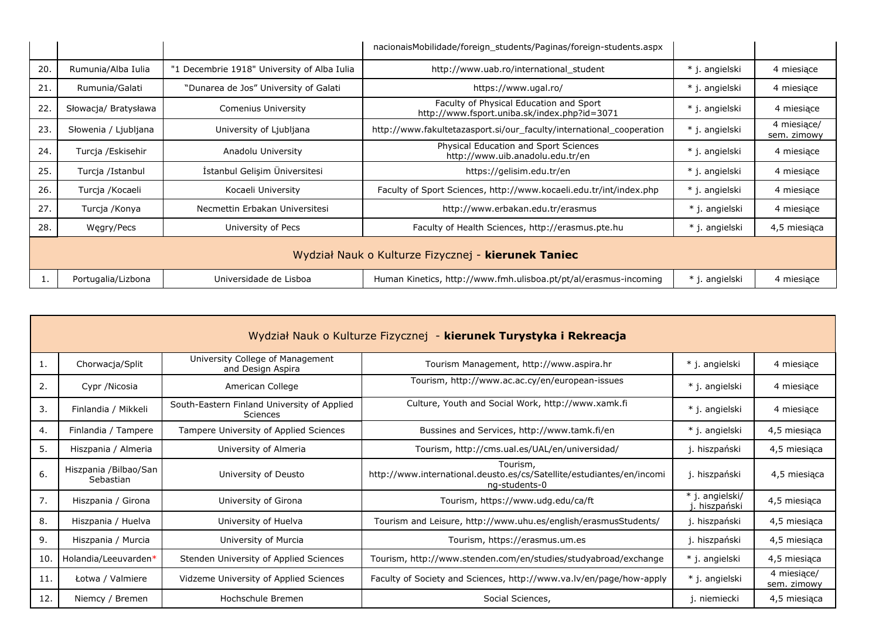|     |                                                     |                                             | nacionaisMobilidade/foreign_students/Paginas/foreign-students.aspx                      |                |                            |  |  |
|-----|-----------------------------------------------------|---------------------------------------------|-----------------------------------------------------------------------------------------|----------------|----------------------------|--|--|
| 20. | Rumunia/Alba Iulia                                  | "1 Decembrie 1918" University of Alba Iulia | http://www.uab.ro/international student                                                 | * j. angielski | 4 miesiące                 |  |  |
| 21. | Rumunia/Galati                                      | "Dunarea de Jos" University of Galati       | https://www.ugal.ro/                                                                    | * j. angielski | 4 miesiące                 |  |  |
| 22. | Słowacja/ Bratysława                                | <b>Comenius University</b>                  | Faculty of Physical Education and Sport<br>http://www.fsport.uniba.sk/index.php?id=3071 | * j. angielski | 4 miesiące                 |  |  |
| 23. | Słowenia / Ljubljana                                | University of Ljubljana                     | http://www.fakultetazasport.si/our faculty/international cooperation                    | * j. angielski | 4 miesiace/<br>sem. zimowy |  |  |
| 24. | Turcja /Eskisehir                                   | Anadolu University                          | Physical Education and Sport Sciences<br>http://www.uib.anadolu.edu.tr/en               | * j. angielski | 4 miesiące                 |  |  |
| 25. | Turcja /Istanbul                                    | İstanbul Gelişim Üniversitesi               | https://gelisim.edu.tr/en                                                               | * j. angielski | 4 miesiące                 |  |  |
| 26. | Turcja /Kocaeli                                     | Kocaeli University                          | Faculty of Sport Sciences, http://www.kocaeli.edu.tr/int/index.php                      | * j. angielski | 4 miesiące                 |  |  |
| 27. | Turcja /Konya                                       | Necmettin Erbakan Universitesi              | http://www.erbakan.edu.tr/erasmus                                                       | * j. angielski | 4 miesiące                 |  |  |
| 28. | Wegry/Pecs                                          | University of Pecs                          | Faculty of Health Sciences, http://erasmus.pte.hu                                       | * j. angielski | 4,5 miesiąca               |  |  |
|     | Wydział Nauk o Kulturze Fizycznej - kierunek Taniec |                                             |                                                                                         |                |                            |  |  |
|     | Portugalia/Lizbona                                  | Universidade de Lisboa                      | Human Kinetics, http://www.fmh.ulisboa.pt/pt/al/erasmus-incoming                        | * j. angielski | 4 miesiące                 |  |  |

|     | Wydział Nauk o Kulturze Fizycznej - kierunek Turystyka i Rekreacja |                                                                |                                                                                                    |                               |                            |  |  |
|-----|--------------------------------------------------------------------|----------------------------------------------------------------|----------------------------------------------------------------------------------------------------|-------------------------------|----------------------------|--|--|
| 1.  | Chorwacja/Split                                                    | University College of Management<br>and Design Aspira          | Tourism Management, http://www.aspira.hr                                                           | * j. angielski                | 4 miesiące                 |  |  |
| 2.  | Cypr / Nicosia                                                     | American College                                               | Tourism, http://www.ac.ac.cy/en/european-issues                                                    | * j. angielski                | 4 miesiące                 |  |  |
| 3.  | Finlandia / Mikkeli                                                | South-Eastern Finland University of Applied<br><b>Sciences</b> | Culture, Youth and Social Work, http://www.xamk.fi                                                 | * j. angielski                | 4 miesiące                 |  |  |
| 4.  | Finlandia / Tampere                                                | Tampere University of Applied Sciences                         | Bussines and Services, http://www.tamk.fi/en                                                       | * j. angielski                | 4,5 miesiąca               |  |  |
| 5.  | Hiszpania / Almeria                                                | University of Almeria                                          | Tourism, http://cms.ual.es/UAL/en/universidad/                                                     | j. hiszpański                 | 4,5 miesiąca               |  |  |
| 6.  | Hiszpania /Bilbao/San<br>Sebastian                                 | University of Deusto                                           | Tourism,<br>http://www.international.deusto.es/cs/Satellite/estudiantes/en/incomi<br>ng-students-0 | j. hiszpański                 | 4,5 miesiąca               |  |  |
| 7.  | Hiszpania / Girona                                                 | University of Girona                                           | Tourism, https://www.udg.edu/ca/ft                                                                 | * j. angielski/<br>hiszpański | 4,5 miesiąca               |  |  |
| 8.  | Hiszpania / Huelva                                                 | University of Huelva                                           | Tourism and Leisure, http://www.uhu.es/english/erasmusStudents/                                    | j. hiszpański                 | 4,5 miesiąca               |  |  |
| 9.  | Hiszpania / Murcia                                                 | University of Murcia                                           | Tourism, https://erasmus.um.es                                                                     | j. hiszpański                 | 4,5 miesiąca               |  |  |
| 10. | Holandia/Leeuvarden*                                               | Stenden University of Applied Sciences                         | Tourism, http://www.stenden.com/en/studies/studyabroad/exchange                                    | * j. angielski                | 4,5 miesiąca               |  |  |
| 11. | Łotwa / Valmiere                                                   | Vidzeme University of Applied Sciences                         | Faculty of Society and Sciences, http://www.va.lv/en/page/how-apply                                | * j. angielski                | 4 miesiące/<br>sem. zimowy |  |  |
| 12. | Niemcy / Bremen                                                    | Hochschule Bremen                                              | Social Sciences,                                                                                   | j. niemiecki                  | 4,5 miesiąca               |  |  |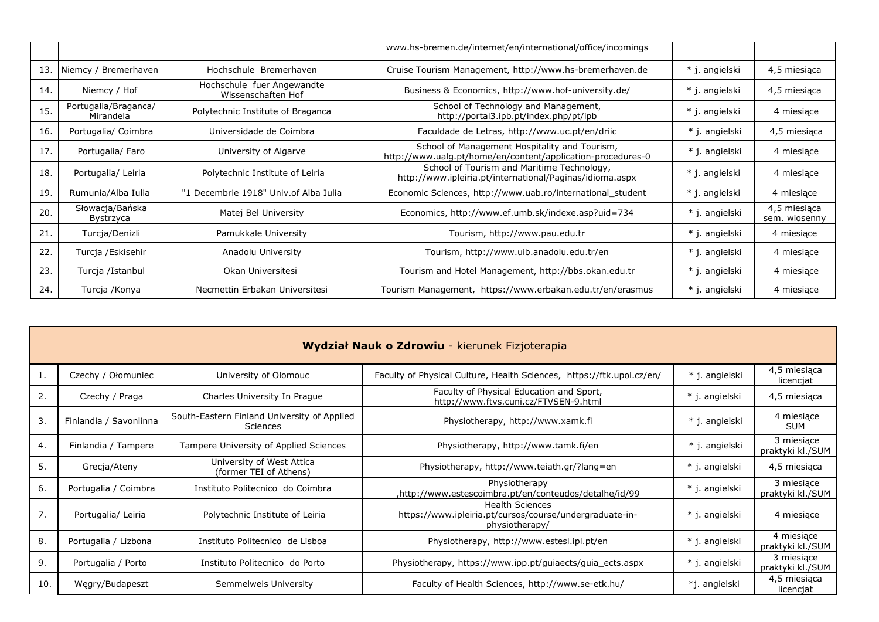|     |                                   |                                                  | www.hs-bremen.de/internet/en/international/office/incomings                                                  |                |                               |
|-----|-----------------------------------|--------------------------------------------------|--------------------------------------------------------------------------------------------------------------|----------------|-------------------------------|
| 13. | Niemcy / Bremerhaven              | Hochschule Bremerhaven                           | Cruise Tourism Management, http://www.hs-bremerhaven.de                                                      | * j. angielski | 4,5 miesiąca                  |
| 14. | Niemcy / Hof                      | Hochschule fuer Angewandte<br>Wissenschaften Hof | Business & Economics, http://www.hof-university.de/                                                          | * j. angielski | 4,5 miesiąca                  |
| 15. | Portugalia/Braganca/<br>Mirandela | Polytechnic Institute of Braganca                | School of Technology and Management,<br>http://portal3.ipb.pt/index.php/pt/ipb                               | * j. angielski | 4 miesiące                    |
| 16. | Portugalia/ Coimbra               | Universidade de Coimbra                          | Faculdade de Letras, http://www.uc.pt/en/driic                                                               | * j. angielski | 4,5 miesiąca                  |
| 17. | Portugalia/ Faro                  | University of Algarve                            | School of Management Hospitality and Tourism,<br>http://www.ualg.pt/home/en/content/application-procedures-0 | * j. angielski | 4 miesiące                    |
| 18. | Portugalia/ Leiria                | Polytechnic Institute of Leiria                  | School of Tourism and Maritime Technology,<br>http://www.ipleiria.pt/international/Paginas/idioma.aspx       | * j. angielski | 4 miesiące                    |
| 19  | Rumunia/Alba Iulia                | "1 Decembrie 1918" Univ.of Alba Iulia            | Economic Sciences, http://www.uab.ro/international student                                                   | * j. angielski | 4 miesiące                    |
| 20. | Słowacja/Bańska<br>Bystrzyca      | Matej Bel University                             | Economics, http://www.ef.umb.sk/indexe.asp?uid=734                                                           | * j. angielski | 4,5 miesiąca<br>sem. wiosenny |
| 21. | Turcja/Denizli                    | Pamukkale University                             | Tourism, http://www.pau.edu.tr                                                                               | * j. angielski | 4 miesiące                    |
| 22. | Turcja /Eskisehir                 | Anadolu University                               | Tourism, http://www.uib.anadolu.edu.tr/en                                                                    | * j. angielski | 4 miesiące                    |
| 23. | Turcja /Istanbul                  | Okan Universitesi                                | Tourism and Hotel Management, http://bbs.okan.edu.tr                                                         | * j. angielski | 4 miesiące                    |
| 24. | Turcja /Konya                     | Necmettin Erbakan Universitesi                   | Tourism Management, https://www.erbakan.edu.tr/en/erasmus                                                    | * j. angielski | 4 miesiące                    |

| Wydział Nauk o Zdrowiu - kierunek Fizjoterapia |                        |                                                                |                                                                                                     |                |                                |  |
|------------------------------------------------|------------------------|----------------------------------------------------------------|-----------------------------------------------------------------------------------------------------|----------------|--------------------------------|--|
|                                                | Czechy / Ołomuniec     | University of Olomouc                                          | Faculty of Physical Culture, Health Sciences, https://ftk.upol.cz/en/                               | * j. angielski | 4,5 miesiąca<br>licencjat      |  |
| 2.                                             | Czechy / Praga         | Charles University In Prague                                   | Faculty of Physical Education and Sport,<br>http://www.ftvs.cuni.cz/FTVSEN-9.html                   | * j. angielski | 4,5 miesiąca                   |  |
| 3.                                             | Finlandia / Savonlinna | South-Eastern Finland University of Applied<br><b>Sciences</b> | Physiotherapy, http://www.xamk.fi                                                                   | * j. angielski | 4 miesiące<br><b>SUM</b>       |  |
| 4.                                             | Finlandia / Tampere    | Tampere University of Applied Sciences                         | Physiotherapy, http://www.tamk.fi/en                                                                | * j. angielski | 3 miesiące<br>praktyki kl./SUM |  |
| 5.                                             | Grecja/Ateny           | University of West Attica<br>(former TEI of Athens)            | Physiotherapy, http://www.teiath.gr/?lang=en                                                        | * j. angielski | 4,5 miesiąca                   |  |
| 6.                                             | Portugalia / Coimbra   | Instituto Politecnico do Coimbra                               | Physiotherapy<br>http://www.estescoimbra.pt/en/conteudos/detalhe/id/99,                             | * j. angielski | 3 miesiące<br>praktyki kl./SUM |  |
| 7.                                             | Portugalia/ Leiria     | Polytechnic Institute of Leiria                                | <b>Health Sciences</b><br>https://www.ipleiria.pt/cursos/course/undergraduate-in-<br>physiotherapy/ | * j. angielski | 4 miesiące                     |  |
| 8.                                             | Portugalia / Lizbona   | Instituto Politecnico de Lisboa                                | Physiotherapy, http://www.estesl.ipl.pt/en                                                          | * j. angielski | 4 miesiące<br>praktyki kl./SUM |  |
| 9.                                             | Portugalia / Porto     | Instituto Politecnico do Porto                                 | Physiotherapy, https://www.ipp.pt/guiaects/guia_ects.aspx                                           | * j. angielski | 3 miesiące<br>praktyki kl./SUM |  |
| 10.                                            | Węgry/Budapeszt        | Semmelweis University                                          | Faculty of Health Sciences, http://www.se-etk.hu/                                                   | *j. angielski  | 4,5 miesiąca<br>licencjat      |  |